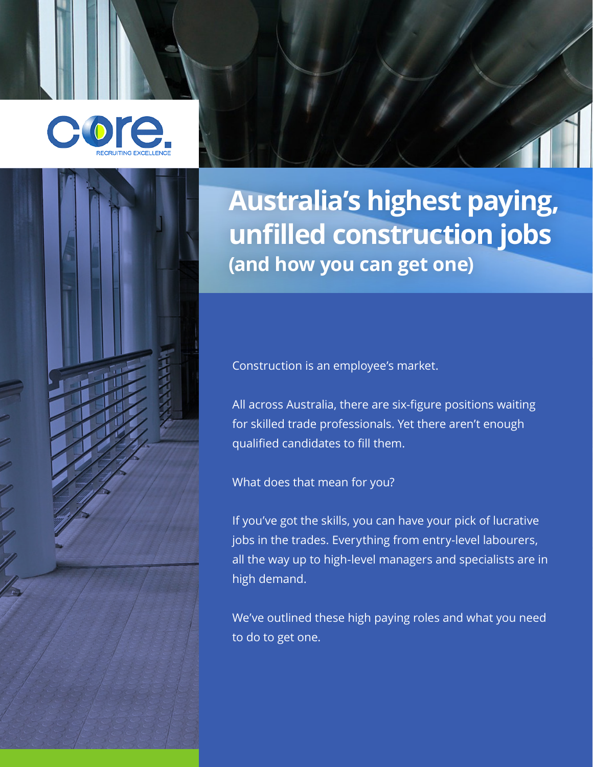



# **Australia's highest paying, unfilled construction jobs (and how you can get one)**

Construction is an employee's market.

All across Australia, there are six-figure positions waiting for skilled trade professionals. Yet there aren't enough qualified candidates to fill them.

What does that mean for you?

If you've got the skills, you can have your pick of lucrative jobs in the trades. Everything from entry-level labourers, all the way up to high-level managers and specialists are in high demand.

We've outlined these high paying roles and what you need to do to get one.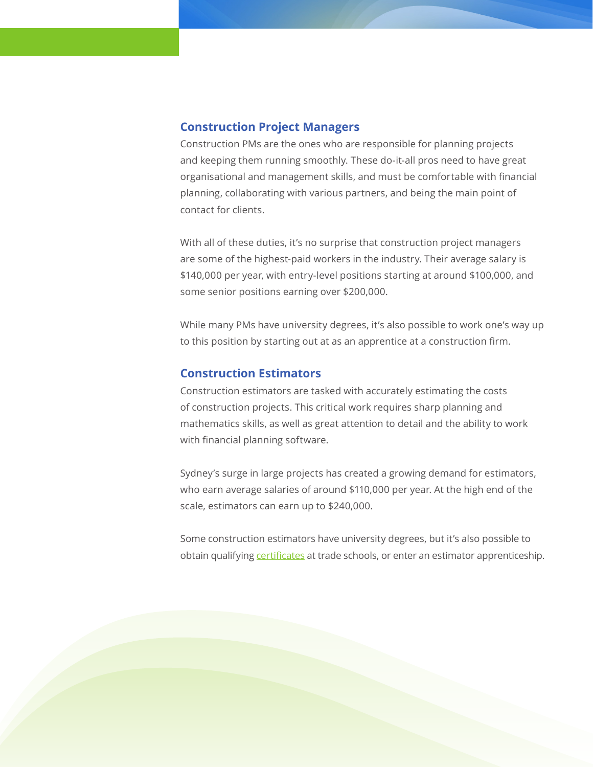#### **Construction Project Managers**

Construction PMs are the ones who are responsible for planning projects and keeping them running smoothly. These do-it-all pros need to have great organisational and management skills, and must be comfortable with financial planning, collaborating with various partners, and being the main point of contact for clients.

With all of these duties, it's no surprise that construction project managers are some of the highest-paid workers in the industry. Their average salary is \$140,000 per year, with entry-level positions starting at around \$100,000, and some senior positions earning over \$200,000.

While many PMs have university degrees, it's also possible to work one's way up to this position by starting out at as an apprentice at a construction firm.

### **Construction Estimators**

Construction estimators are tasked with accurately estimating the costs of construction projects. This critical work requires sharp planning and mathematics skills, as well as great attention to detail and the ability to work with financial planning software.

Sydney's surge in large projects has created a growing demand for estimators, who earn average salaries of around \$110,000 per year. At the high end of the scale, estimators can earn up to \$240,000.

Some construction estimators have university degrees, but it's also possible to obtain qualifying [certificates](https://www.myskills.gov.au/courses/details?Code=CPC40308) at trade schools, or enter an estimator apprenticeship.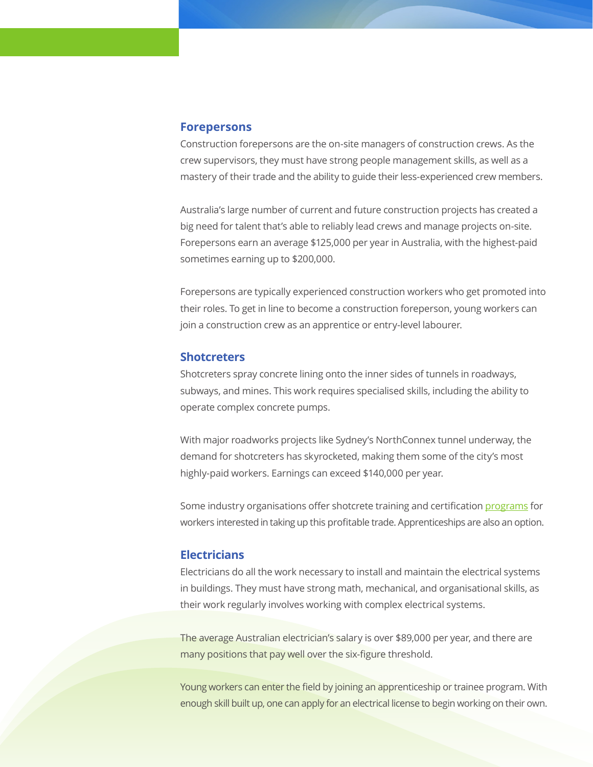#### **Forepersons**

Construction forepersons are the on-site managers of construction crews. As the crew supervisors, they must have strong people management skills, as well as a mastery of their trade and the ability to guide their less-experienced crew members.

Australia's large number of current and future construction projects has created a big need for talent that's able to reliably lead crews and manage projects on-site. Forepersons earn an average \$125,000 per year in Australia, with the highest-paid sometimes earning up to \$200,000.

Forepersons are typically experienced construction workers who get promoted into their roles. To get in line to become a construction foreperson, young workers can join a construction crew as an apprentice or entry-level labourer.

#### **Shotcreters**

Shotcreters spray concrete lining onto the inner sides of tunnels in roadways, subways, and mines. This work requires specialised skills, including the ability to operate complex concrete pumps.

With major roadworks projects like Sydney's NorthConnex tunnel underway, the demand for shotcreters has skyrocketed, making them some of the city's most highly-paid workers. Earnings can exceed \$140,000 per year.

Some industry organisations offer shotcrete training and certification [programs](http://www.cpassoc.com.au/certification/shotcrete-certification) for workers interested in taking up this profitable trade. Apprenticeships are also an option.

#### **Electricians**

Electricians do all the work necessary to install and maintain the electrical systems in buildings. They must have strong math, mechanical, and organisational skills, as their work regularly involves working with complex electrical systems.

The average Australian electrician's salary is over \$89,000 per year, and there are many positions that pay well over the six-figure threshold.

Young workers can enter the field by joining an apprenticeship or trainee program. With enough skill built up, one can apply for an electrical license to begin working on their own.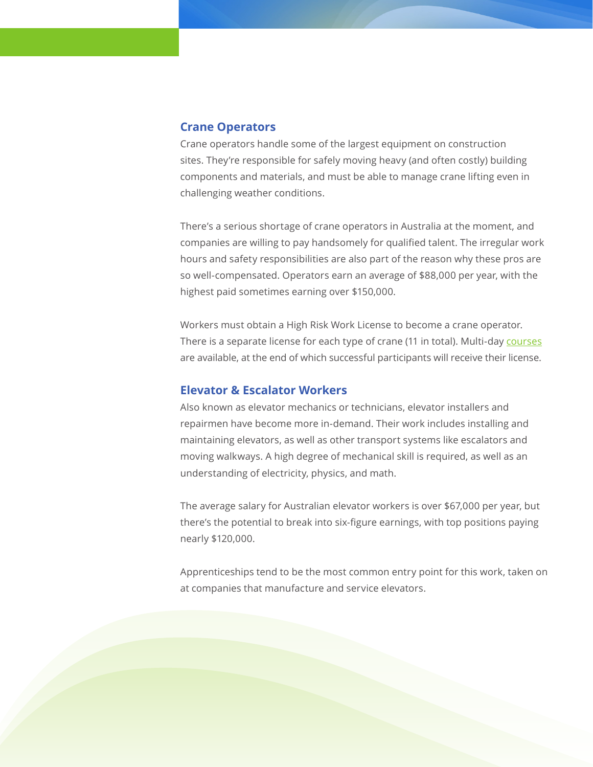#### **Crane Operators**

Crane operators handle some of the largest equipment on construction sites. They're responsible for safely moving heavy (and often costly) building components and materials, and must be able to manage crane lifting even in challenging weather conditions.

There's a serious shortage of crane operators in Australia at the moment, and companies are willing to pay handsomely for qualified talent. The irregular work hours and safety responsibilities are also part of the reason why these pros are so well-compensated. Operators earn an average of \$88,000 per year, with the highest paid sometimes earning over \$150,000.

Workers must obtain a High Risk Work License to become a crane operator. There is a separate license for each type of crane (11 in total). Multi-day [courses](https://constructiontraining.com.au/courses.html) are available, at the end of which successful participants will receive their license.

## **Elevator & Escalator Workers**

Also known as elevator mechanics or technicians, elevator installers and repairmen have become more in-demand. Their work includes installing and maintaining elevators, as well as other transport systems like escalators and moving walkways. A high degree of mechanical skill is required, as well as an understanding of electricity, physics, and math.

The average salary for Australian elevator workers is over \$67,000 per year, but there's the potential to break into six-figure earnings, with top positions paying nearly \$120,000.

Apprenticeships tend to be the most common entry point for this work, taken on at companies that manufacture and service elevators.